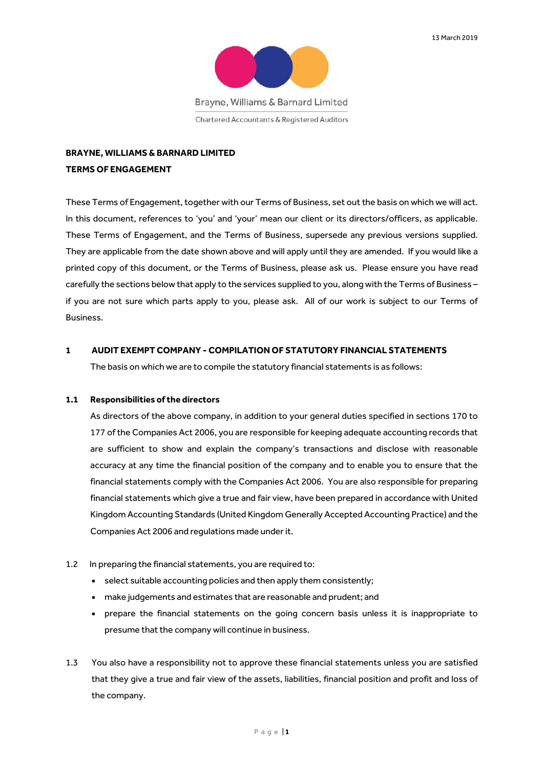

## **BRAYNE, WILLIAMS & BARNARD LIMITED TERMS OF ENGAGEMENT**

These Terms of Engagement, together with our Terms of Business, set out the basis on which we will act. In this document, references to 'you' and 'your' mean our client or its directors/officers, as applicable. These Terms of Engagement, and the Terms of Business, supersede any previous versions supplied. They are applicable from the date shown above and will apply until they are amended. If you would like a printed copy of this document, or the Terms of Business, please ask us. Please ensure you have read carefully the sections below that apply to the services supplied to you, along with the Terms of Business – if you are not sure which parts apply to you, please ask. All of our work is subject to our Terms of Business.

## **1 AUDIT EXEMPT COMPANY - COMPILATION OF STATUTORY FINANCIAL STATEMENTS**

The basis on which we are to compile the statutory financial statements is as follows:

#### **1.1 Responsibilities of the directors**

As directors of the above company, in addition to your general duties specified in sections 170 to 177 of the Companies Act 2006, you are responsible for keeping adequate accounting records that are sufficient to show and explain the company's transactions and disclose with reasonable accuracy at any time the financial position of the company and to enable you to ensure that the financial statements comply with the Companies Act 2006. You are also responsible for preparing financial statements which give a true and fair view, have been prepared in accordance with United Kingdom Accounting Standards (United Kingdom Generally Accepted Accounting Practice) and the Companies Act 2006 and regulations made under it.

## 1.2 In preparing the financial statements, you are required to:

- select suitable accounting policies and then apply them consistently;
- make judgements and estimates that are reasonable and prudent; and
- prepare the financial statements on the going concern basis unless it is inappropriate to presume that the company will continue in business.
- 1.3 You also have a responsibility not to approve these financial statements unless you are satisfied that they give a true and fair view of the assets, liabilities, financial position and profit and loss of the company.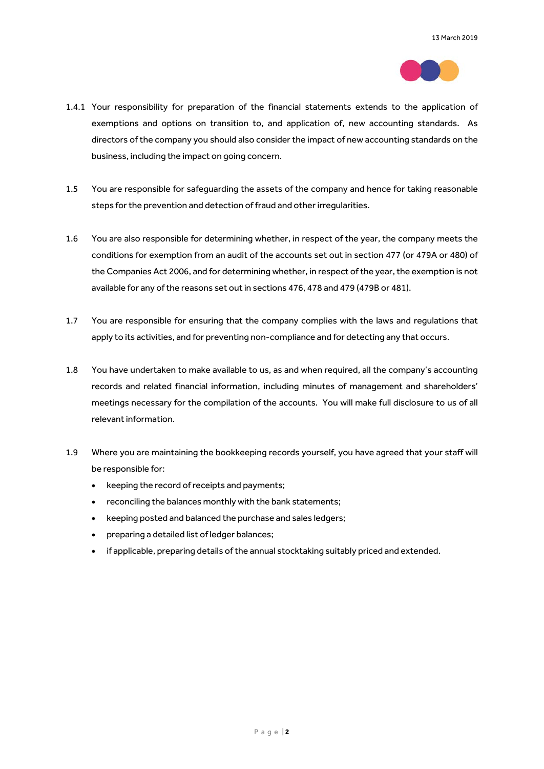

- 1.4.1 Your responsibility for preparation of the financial statements extends to the application of exemptions and options on transition to, and application of, new accounting standards. As directors of the company you should also consider the impact of new accounting standards on the business, including the impact on going concern.
- 1.5 You are responsible for safeguarding the assets of the company and hence for taking reasonable steps for the prevention and detection of fraud and other irregularities.
- 1.6 You are also responsible for determining whether, in respect of the year, the company meets the conditions for exemption from an audit of the accounts set out in section 477 (or 479A or 480) of the Companies Act 2006, and for determining whether, in respect of the year, the exemption is not available for any of the reasons set out in sections 476, 478 and 479 (479B or 481).
- 1.7 You are responsible for ensuring that the company complies with the laws and regulations that apply to its activities, and for preventing non-compliance and for detecting any that occurs.
- 1.8 You have undertaken to make available to us, as and when required, all the company's accounting records and related financial information, including minutes of management and shareholders' meetings necessary for the compilation of the accounts. You will make full disclosure to us of all relevant information.
- 1.9 Where you are maintaining the bookkeeping records yourself, you have agreed that your staff will be responsible for:
	- keeping the record of receipts and payments;
	- reconciling the balances monthly with the bank statements;
	- keeping posted and balanced the purchase and sales ledgers;
	- preparing a detailed list of ledger balances;
	- if applicable, preparing details of the annual stocktaking suitably priced and extended.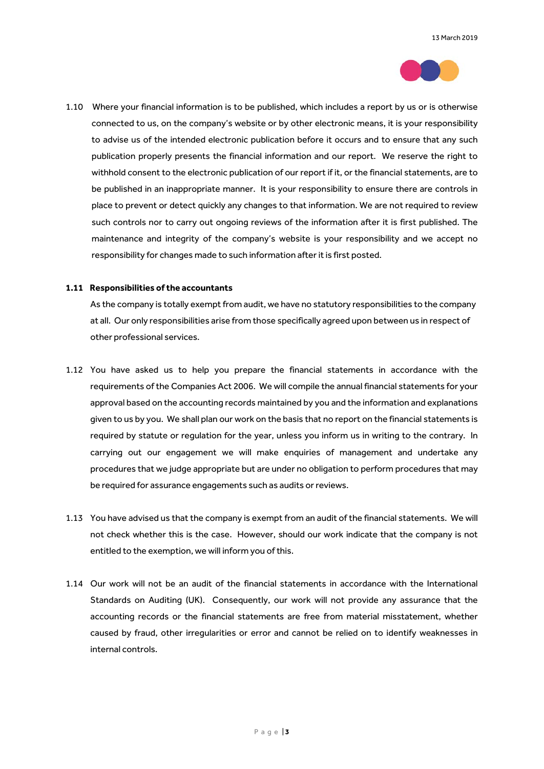

1.10 Where your financial information is to be published, which includes a report by us or is otherwise connected to us, on the company's website or by other electronic means, it is your responsibility to advise us of the intended electronic publication before it occurs and to ensure that any such publication properly presents the financial information and our report. We reserve the right to withhold consent to the electronic publication of our report if it, or the financial statements, are to be published in an inappropriate manner. It is your responsibility to ensure there are controls in place to prevent or detect quickly any changes to that information. We are not required to review such controls nor to carry out ongoing reviews of the information after it is first published. The maintenance and integrity of the company's website is your responsibility and we accept no responsibility for changes made to such information after it is first posted.

#### **1.11 Responsibilities of the accountants**

As the company is totally exempt from audit, we have no statutory responsibilities to the company at all. Our only responsibilities arise from those specifically agreed upon between us in respect of other professional services.

- 1.12 You have asked us to help you prepare the financial statements in accordance with the requirements of the Companies Act 2006. We will compile the annual financial statements for your approval based on the accounting records maintained by you and the information and explanations given to us by you. We shall plan our work on the basis that no report on the financial statements is required by statute or regulation for the year, unless you inform us in writing to the contrary. In carrying out our engagement we will make enquiries of management and undertake any procedures that we judge appropriate but are under no obligation to perform procedures that may be required for assurance engagements such as audits or reviews.
- 1.13 You have advised us that the company is exempt from an audit of the financial statements. We will not check whether this is the case. However, should our work indicate that the company is not entitled to the exemption, we will inform you of this.
- 1.14 Our work will not be an audit of the financial statements in accordance with the International Standards on Auditing (UK). Consequently, our work will not provide any assurance that the accounting records or the financial statements are free from material misstatement, whether caused by fraud, other irregularities or error and cannot be relied on to identify weaknesses in internal controls.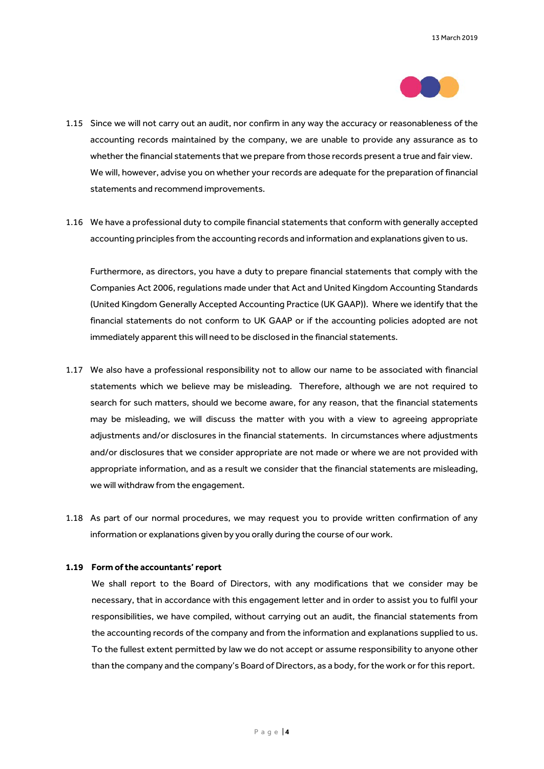

- 1.15 Since we will not carry out an audit, nor confirm in any way the accuracy or reasonableness of the accounting records maintained by the company, we are unable to provide any assurance as to whether the financial statements that we prepare from those records present a true and fair view. We will, however, advise you on whether your records are adequate for the preparation of financial statements and recommend improvements.
- 1.16 We have a professional duty to compile financial statements that conform with generally accepted accounting principles from the accounting records and information and explanations given to us.

Furthermore, as directors, you have a duty to prepare financial statements that comply with the Companies Act 2006, regulations made under that Act and United Kingdom Accounting Standards (United Kingdom Generally Accepted Accounting Practice (UK GAAP)). Where we identify that the financial statements do not conform to UK GAAP or if the accounting policies adopted are not immediately apparent this will need to be disclosed in the financial statements.

- 1.17 We also have a professional responsibility not to allow our name to be associated with financial statements which we believe may be misleading. Therefore, although we are not required to search for such matters, should we become aware, for any reason, that the financial statements may be misleading, we will discuss the matter with you with a view to agreeing appropriate adjustments and/or disclosures in the financial statements. In circumstances where adjustments and/or disclosures that we consider appropriate are not made or where we are not provided with appropriate information, and as a result we consider that the financial statements are misleading, we will withdraw from the engagement.
- 1.18 As part of our normal procedures, we may request you to provide written confirmation of any information or explanations given by you orally during the course of our work.

## **1.19 Form of the accountants' report**

We shall report to the Board of Directors, with any modifications that we consider may be necessary, that in accordance with this engagement letter and in order to assist you to fulfil your responsibilities, we have compiled, without carrying out an audit, the financial statements from the accounting records of the company and from the information and explanations supplied to us. To the fullest extent permitted by law we do not accept or assume responsibility to anyone other than the company and the company's Board of Directors, as a body, for the work or for this report.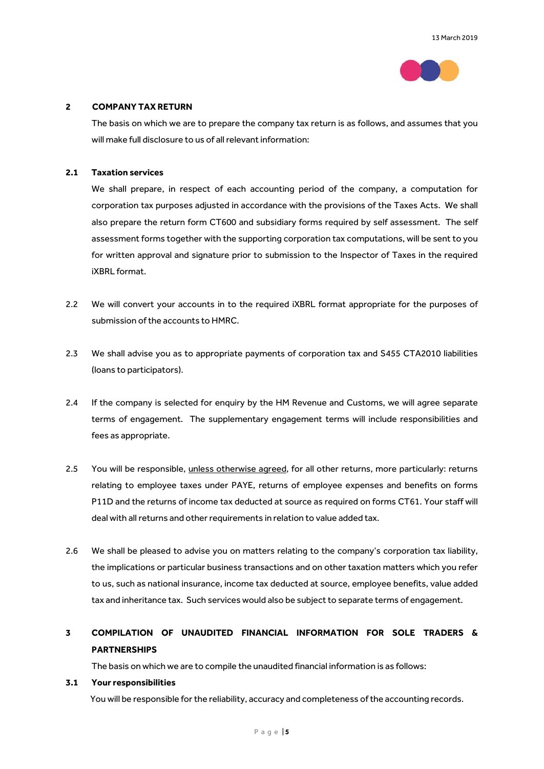

## **2 COMPANY TAX RETURN**

The basis on which we are to prepare the company tax return is as follows, and assumes that you will make full disclosure to us of all relevant information:

## **2.1 Taxation services**

We shall prepare, in respect of each accounting period of the company, a computation for corporation tax purposes adjusted in accordance with the provisions of the Taxes Acts. We shall also prepare the return form CT600 and subsidiary forms required by self assessment. The self assessment forms together with the supporting corporation tax computations, will be sent to you for written approval and signature prior to submission to the Inspector of Taxes in the required iXBRL format.

- 2.2 We will convert your accounts in to the required iXBRL format appropriate for the purposes of submission of the accounts to HMRC.
- 2.3 We shall advise you as to appropriate payments of corporation tax and S455 CTA2010 liabilities (loans to participators).
- 2.4 If the company is selected for enquiry by the HM Revenue and Customs, we will agree separate terms of engagement. The supplementary engagement terms will include responsibilities and fees as appropriate.
- 2.5 You will be responsible, unless otherwise agreed, for all other returns, more particularly: returns relating to employee taxes under PAYE, returns of employee expenses and benefits on forms P11D and the returns of income tax deducted at source as required on forms CT61. Your staff will deal with all returns and other requirements in relation to value added tax.
- 2.6 We shall be pleased to advise you on matters relating to the company's corporation tax liability, the implications or particular business transactions and on other taxation matters which you refer to us, such as national insurance, income tax deducted at source, employee benefits, value added tax and inheritance tax. Such services would also be subject to separate terms of engagement.

# **3 COMPILATION OF UNAUDITED FINANCIAL INFORMATION FOR SOLE TRADERS & PARTNERSHIPS**

The basis on which we are to compile the unaudited financial information is as follows:

#### **3.1 Your responsibilities**

You will be responsible for the reliability, accuracy and completeness of the accounting records.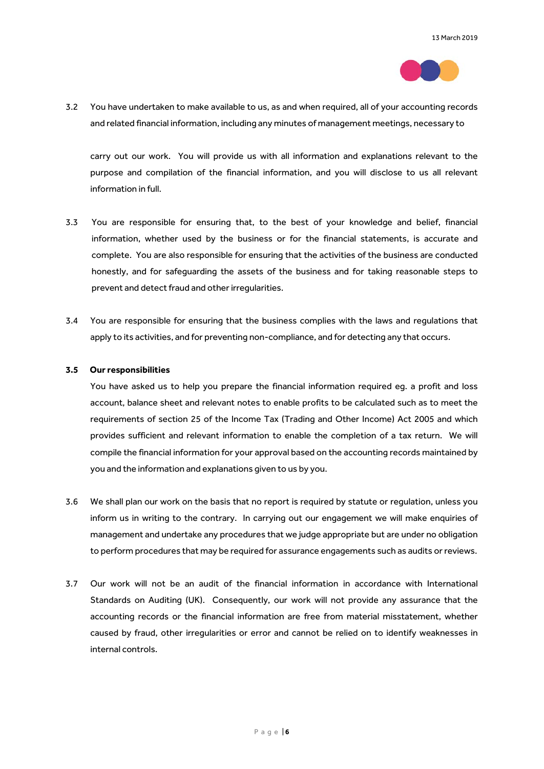

3.2 You have undertaken to make available to us, as and when required, all of your accounting records and related financial information, including any minutes of management meetings, necessary to

carry out our work. You will provide us with all information and explanations relevant to the purpose and compilation of the financial information, and you will disclose to us all relevant information in full.

- 3.3 You are responsible for ensuring that, to the best of your knowledge and belief, financial information, whether used by the business or for the financial statements, is accurate and complete. You are also responsible for ensuring that the activities of the business are conducted honestly, and for safeguarding the assets of the business and for taking reasonable steps to prevent and detect fraud and other irregularities.
- 3.4 You are responsible for ensuring that the business complies with the laws and regulations that apply to its activities, and for preventing non-compliance, and for detecting any that occurs.

#### **3.5 Our responsibilities**

You have asked us to help you prepare the financial information required eg. a profit and loss account, balance sheet and relevant notes to enable profits to be calculated such as to meet the requirements of section 25 of the Income Tax (Trading and Other Income) Act 2005 and which provides sufficient and relevant information to enable the completion of a tax return. We will compile the financial information for your approval based on the accounting records maintained by you and the information and explanations given to us by you.

- 3.6 We shall plan our work on the basis that no report is required by statute or regulation, unless you inform us in writing to the contrary. In carrying out our engagement we will make enquiries of management and undertake any procedures that we judge appropriate but are under no obligation to perform procedures that may be required for assurance engagements such as audits or reviews.
- 3.7 Our work will not be an audit of the financial information in accordance with International Standards on Auditing (UK). Consequently, our work will not provide any assurance that the accounting records or the financial information are free from material misstatement, whether caused by fraud, other irregularities or error and cannot be relied on to identify weaknesses in internal controls.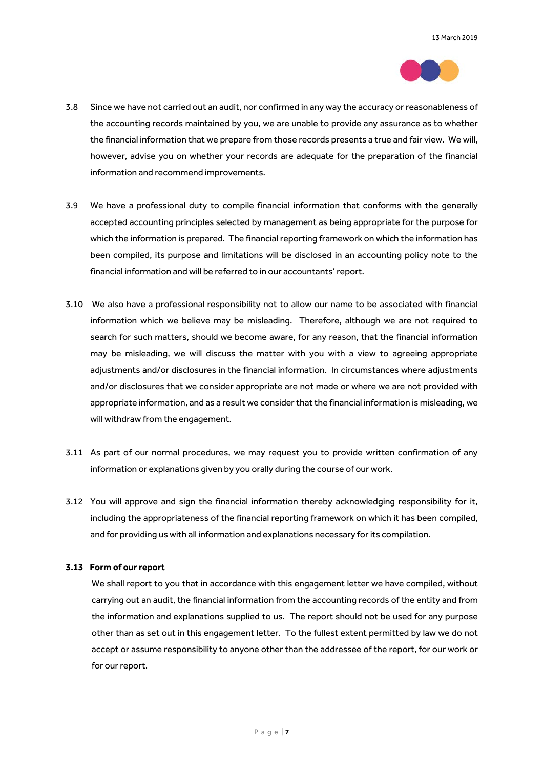

- 3.8 Since we have not carried out an audit, nor confirmed in any way the accuracy or reasonableness of the accounting records maintained by you, we are unable to provide any assurance as to whether the financial information that we prepare from those records presents a true and fair view. We will, however, advise you on whether your records are adequate for the preparation of the financial information and recommend improvements.
- 3.9 We have a professional duty to compile financial information that conforms with the generally accepted accounting principles selected by management as being appropriate for the purpose for which the information is prepared. The financial reporting framework on which the information has been compiled, its purpose and limitations will be disclosed in an accounting policy note to the financial information and will be referred to in our accountants' report.
- 3.10 We also have a professional responsibility not to allow our name to be associated with financial information which we believe may be misleading. Therefore, although we are not required to search for such matters, should we become aware, for any reason, that the financial information may be misleading, we will discuss the matter with you with a view to agreeing appropriate adjustments and/or disclosures in the financial information. In circumstances where adjustments and/or disclosures that we consider appropriate are not made or where we are not provided with appropriate information, and as a result we consider that the financial information is misleading, we will withdraw from the engagement.
- 3.11 As part of our normal procedures, we may request you to provide written confirmation of any information or explanations given by you orally during the course of our work.
- 3.12 You will approve and sign the financial information thereby acknowledging responsibility for it, including the appropriateness of the financial reporting framework on which it has been compiled, and for providing us with all information and explanations necessary for its compilation.

#### **3.13 Form of our report**

We shall report to you that in accordance with this engagement letter we have compiled, without carrying out an audit, the financial information from the accounting records of the entity and from the information and explanations supplied to us. The report should not be used for any purpose other than as set out in this engagement letter. To the fullest extent permitted by law we do not accept or assume responsibility to anyone other than the addressee of the report, for our work or for our report.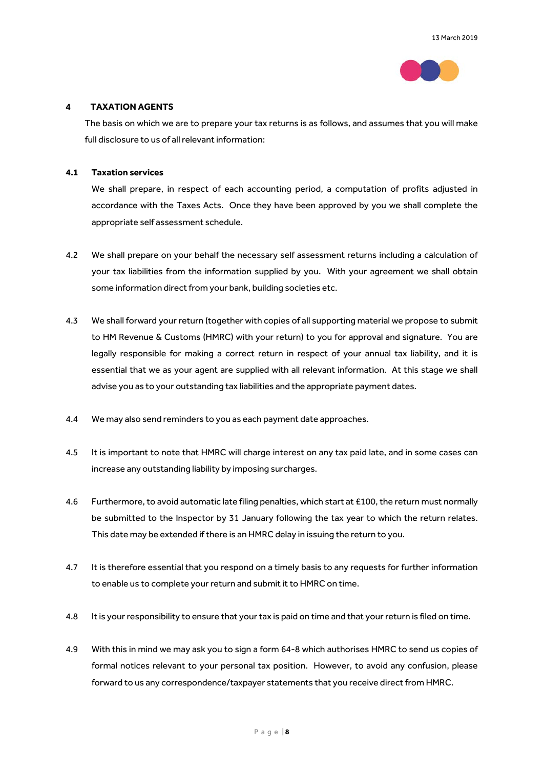

## **4 TAXATION AGENTS**

The basis on which we are to prepare your tax returns is as follows, and assumes that you will make full disclosure to us of all relevant information:

## **4.1 Taxation services**

We shall prepare, in respect of each accounting period, a computation of profits adjusted in accordance with the Taxes Acts. Once they have been approved by you we shall complete the appropriate self assessment schedule.

- 4.2 We shall prepare on your behalf the necessary self assessment returns including a calculation of your tax liabilities from the information supplied by you. With your agreement we shall obtain some information direct from your bank, building societies etc.
- 4.3 We shall forward your return (together with copies of all supporting material we propose to submit to HM Revenue & Customs (HMRC) with your return) to you for approval and signature. You are legally responsible for making a correct return in respect of your annual tax liability, and it is essential that we as your agent are supplied with all relevant information. At this stage we shall advise you as to your outstanding tax liabilities and the appropriate payment dates.
- 4.4 We may also send reminders to you as each payment date approaches.
- 4.5 It is important to note that HMRC will charge interest on any tax paid late, and in some cases can increase any outstanding liability by imposing surcharges.
- 4.6 Furthermore, to avoid automatic late filing penalties, which start at £100, the return must normally be submitted to the Inspector by 31 January following the tax year to which the return relates. This date may be extended if there is an HMRC delay in issuing the return to you.
- 4.7 It is therefore essential that you respond on a timely basis to any requests for further information to enable us to complete your return and submit it to HMRC on time.
- 4.8 It is your responsibility to ensure that your tax is paid on time and that your return is filed on time.
- 4.9 With this in mind we may ask you to sign a form 64-8 which authorises HMRC to send us copies of formal notices relevant to your personal tax position. However, to avoid any confusion, please forward to us any correspondence/taxpayer statements that you receive direct from HMRC.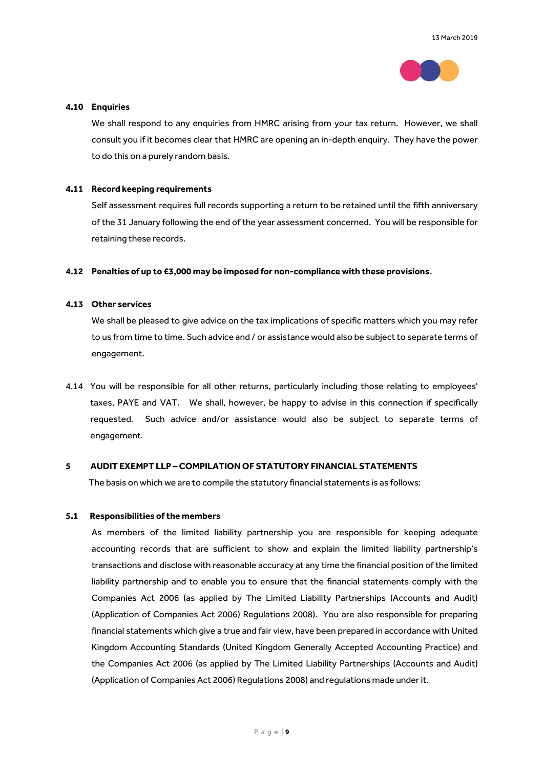

#### **4.10 Enquiries**

We shall respond to any enquiries from HMRC arising from your tax return. However, we shall consult you if it becomes clear that HMRC are opening an in-depth enquiry. They have the power to do this on a purely random basis.

#### **4.11 Record keeping requirements**

Self assessment requires full records supporting a return to be retained until the fifth anniversary of the 31 January following the end of the year assessment concerned. You will be responsible for retaining these records.

#### **4.12 Penalties of up to £3,000 may be imposed for non-compliance with these provisions.**

## **4.13 Other services**

We shall be pleased to give advice on the tax implications of specific matters which you may refer to us from time to time. Such advice and / or assistance would also be subject to separate terms of engagement.

4.14 You will be responsible for all other returns, particularly including those relating to employees' taxes, PAYE and VAT. We shall, however, be happy to advise in this connection if specifically requested. Such advice and/or assistance would also be subject to separate terms of engagement.

#### **5 AUDIT EXEMPT LLP – COMPILATION OF STATUTORY FINANCIAL STATEMENTS**

The basis on which we are to compile the statutory financial statements is as follows:

## **5.1 Responsibilities of the members**

As members of the limited liability partnership you are responsible for keeping adequate accounting records that are sufficient to show and explain the limited liability partnership's transactions and disclose with reasonable accuracy at any time the financial position of the limited liability partnership and to enable you to ensure that the financial statements comply with the Companies Act 2006 (as applied by The Limited Liability Partnerships (Accounts and Audit) (Application of Companies Act 2006) Regulations 2008). You are also responsible for preparing financial statements which give a true and fair view, have been prepared in accordance with United Kingdom Accounting Standards (United Kingdom Generally Accepted Accounting Practice) and the Companies Act 2006 (as applied by The Limited Liability Partnerships (Accounts and Audit) (Application of Companies Act 2006) Regulations 2008) and regulations made under it.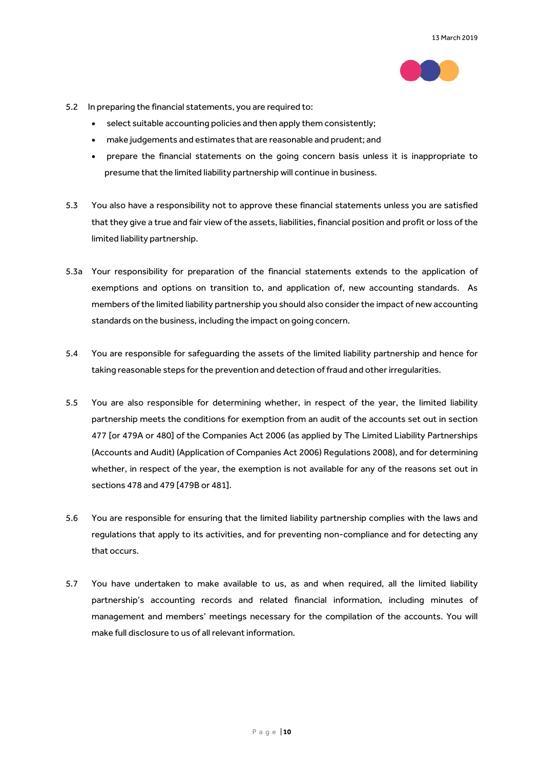

- 5.2 In preparing the financial statements, you are required to:
	- select suitable accounting policies and then apply them consistently;
	- make judgements and estimates that are reasonable and prudent; and
	- prepare the financial statements on the going concern basis unless it is inappropriate to presume that the limited liability partnership will continue in business.
- 5.3 You also have a responsibility not to approve these financial statements unless you are satisfied that they give a true and fair view of the assets, liabilities, financial position and profit or loss of the limited liability partnership.
- 5.3a Your responsibility for preparation of the financial statements extends to the application of exemptions and options on transition to, and application of, new accounting standards. As members of the limited liability partnership you should also consider the impact of new accounting standards on the business, including the impact on going concern.
- 5.4 You are responsible for safeguarding the assets of the limited liability partnership and hence for taking reasonable steps for the prevention and detection of fraud and other irregularities.
- 5.5 You are also responsible for determining whether, in respect of the year, the limited liability partnership meets the conditions for exemption from an audit of the accounts set out in section 477 [or 479A or 480] of the Companies Act 2006 (as applied by The Limited Liability Partnerships (Accounts and Audit) (Application of Companies Act 2006) Regulations 2008), and for determining whether, in respect of the year, the exemption is not available for any of the reasons set out in sections 478 and 479 [479B or 481].
- 5.6 You are responsible for ensuring that the limited liability partnership complies with the laws and regulations that apply to its activities, and for preventing non-compliance and for detecting any that occurs.
- 5.7 You have undertaken to make available to us, as and when required, all the limited liability partnership's accounting records and related financial information, including minutes of management and members' meetings necessary for the compilation of the accounts. You will make full disclosure to us of all relevant information.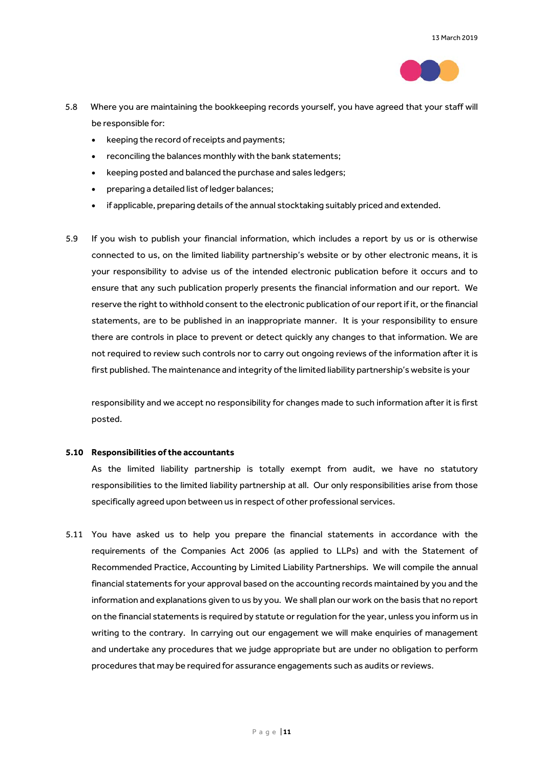

- 5.8 Where you are maintaining the bookkeeping records yourself, you have agreed that your staff will be responsible for:
	- keeping the record of receipts and payments;
	- reconciling the balances monthly with the bank statements;
	- keeping posted and balanced the purchase and sales ledgers;
	- preparing a detailed list of ledger balances;
	- if applicable, preparing details of the annual stocktaking suitably priced and extended.
- 5.9 If you wish to publish your financial information, which includes a report by us or is otherwise connected to us, on the limited liability partnership's website or by other electronic means, it is your responsibility to advise us of the intended electronic publication before it occurs and to ensure that any such publication properly presents the financial information and our report. We reserve the right to withhold consent to the electronic publication of our report if it, or the financial statements, are to be published in an inappropriate manner. It is your responsibility to ensure there are controls in place to prevent or detect quickly any changes to that information. We are not required to review such controls nor to carry out ongoing reviews of the information after it is first published. The maintenance and integrity of the limited liability partnership's website is your

responsibility and we accept no responsibility for changes made to such information after it is first posted.

## **5.10 Responsibilities of the accountants**

As the limited liability partnership is totally exempt from audit, we have no statutory responsibilities to the limited liability partnership at all. Our only responsibilities arise from those specifically agreed upon between us in respect of other professional services.

5.11 You have asked us to help you prepare the financial statements in accordance with the requirements of the Companies Act 2006 (as applied to LLPs) and with the Statement of Recommended Practice, Accounting by Limited Liability Partnerships. We will compile the annual financial statements for your approval based on the accounting records maintained by you and the information and explanations given to us by you. We shall plan our work on the basis that no report on the financial statements is required by statute or regulation for the year, unless you inform us in writing to the contrary. In carrying out our engagement we will make enquiries of management and undertake any procedures that we judge appropriate but are under no obligation to perform procedures that may be required for assurance engagements such as audits or reviews.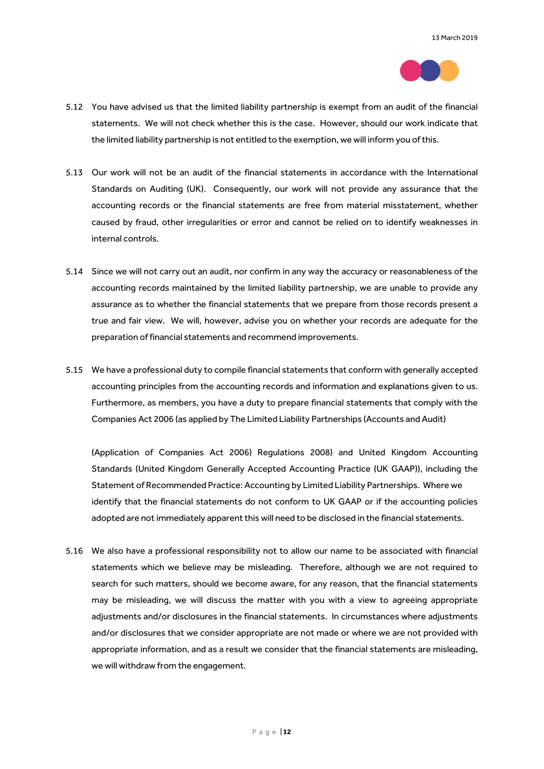

- 5.12 You have advised us that the limited liability partnership is exempt from an audit of the financial statements. We will not check whether this is the case. However, should our work indicate that the limited liability partnership is not entitled to the exemption, we will inform you of this.
- 5.13 Our work will not be an audit of the financial statements in accordance with the International Standards on Auditing (UK). Consequently, our work will not provide any assurance that the accounting records or the financial statements are free from material misstatement, whether caused by fraud, other irregularities or error and cannot be relied on to identify weaknesses in internal controls.
- 5.14 Since we will not carry out an audit, nor confirm in any way the accuracy or reasonableness of the accounting records maintained by the limited liability partnership, we are unable to provide any assurance as to whether the financial statements that we prepare from those records present a true and fair view. We will, however, advise you on whether your records are adequate for the preparation of financial statements and recommend improvements.
- 5.15 We have a professional duty to compile financial statements that conform with generally accepted accounting principles from the accounting records and information and explanations given to us. Furthermore, as members, you have a duty to prepare financial statements that comply with the Companies Act 2006 (as applied by The Limited Liability Partnerships (Accounts and Audit)

(Application of Companies Act 2006) Regulations 2008) and United Kingdom Accounting Standards (United Kingdom Generally Accepted Accounting Practice (UK GAAP)), including the Statement of Recommended Practice: Accounting by Limited Liability Partnerships. Where we identify that the financial statements do not conform to UK GAAP or if the accounting policies adopted are not immediately apparent this will need to be disclosed in the financial statements.

5.16 We also have a professional responsibility not to allow our name to be associated with financial statements which we believe may be misleading. Therefore, although we are not required to search for such matters, should we become aware, for any reason, that the financial statements may be misleading, we will discuss the matter with you with a view to agreeing appropriate adjustments and/or disclosures in the financial statements. In circumstances where adjustments and/or disclosures that we consider appropriate are not made or where we are not provided with appropriate information, and as a result we consider that the financial statements are misleading, we will withdraw from the engagement.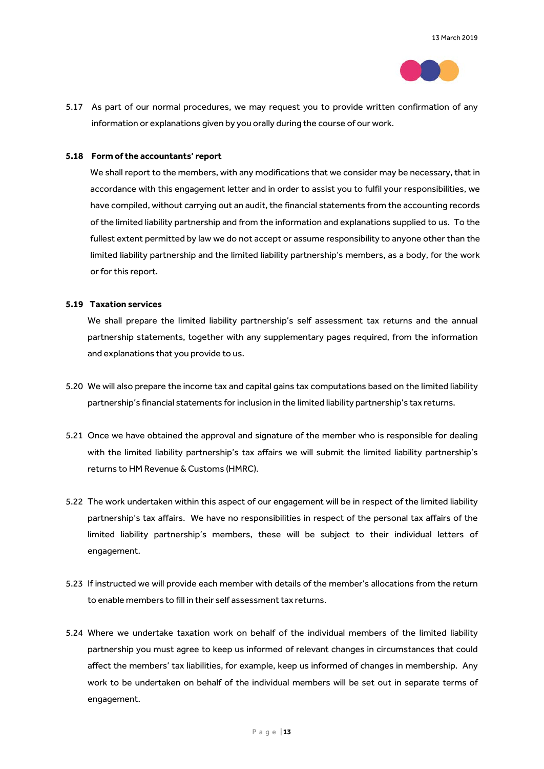

5.17 As part of our normal procedures, we may request you to provide written confirmation of any information or explanations given by you orally during the course of our work.

#### **5.18 Form of the accountants' report**

We shall report to the members, with any modifications that we consider may be necessary, that in accordance with this engagement letter and in order to assist you to fulfil your responsibilities, we have compiled, without carrying out an audit, the financial statements from the accounting records of the limited liability partnership and from the information and explanations supplied to us. To the fullest extent permitted by law we do not accept or assume responsibility to anyone other than the limited liability partnership and the limited liability partnership's members, as a body, for the work or for this report.

## **5.19 Taxation services**

We shall prepare the limited liability partnership's self assessment tax returns and the annual partnership statements, together with any supplementary pages required, from the information and explanations that you provide to us.

- 5.20 We will also prepare the income tax and capital gains tax computations based on the limited liability partnership's financial statements for inclusion in the limited liability partnership's tax returns.
- 5.21 Once we have obtained the approval and signature of the member who is responsible for dealing with the limited liability partnership's tax affairs we will submit the limited liability partnership's returns to HM Revenue & Customs (HMRC).
- 5.22 The work undertaken within this aspect of our engagement will be in respect of the limited liability partnership's tax affairs. We have no responsibilities in respect of the personal tax affairs of the limited liability partnership's members, these will be subject to their individual letters of engagement.
- 5.23 If instructed we will provide each member with details of the member's allocations from the return to enable members to fill in their self assessment tax returns.
- 5.24 Where we undertake taxation work on behalf of the individual members of the limited liability partnership you must agree to keep us informed of relevant changes in circumstances that could affect the members' tax liabilities, for example, keep us informed of changes in membership. Any work to be undertaken on behalf of the individual members will be set out in separate terms of engagement.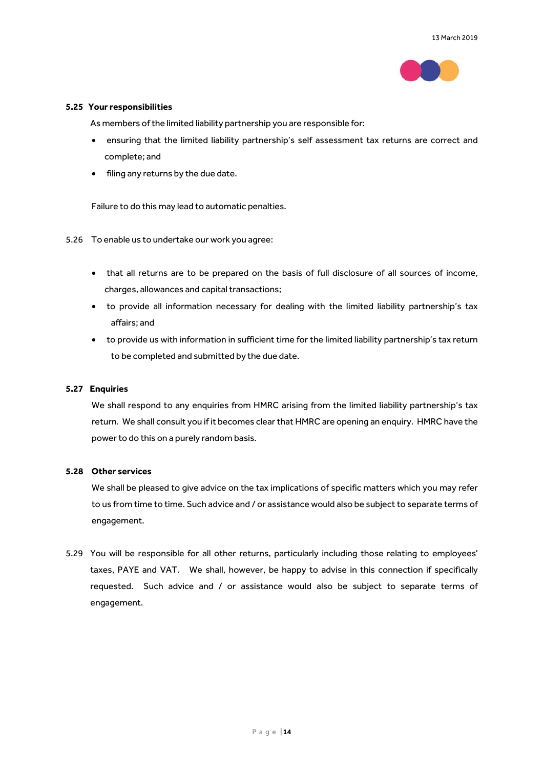

#### **5.25 Your responsibilities**

As members of the limited liability partnership you are responsible for:

- ensuring that the limited liability partnership's self assessment tax returns are correct and complete; and
- filing any returns by the due date.

Failure to do this may lead to automatic penalties.

- 5.26 To enable us to undertake our work you agree:
	- that all returns are to be prepared on the basis of full disclosure of all sources of income, charges, allowances and capital transactions;
	- to provide all information necessary for dealing with the limited liability partnership's tax affairs; and
	- to provide us with information in sufficient time for the limited liability partnership's tax return to be completed and submitted by the due date.

#### **5.27 Enquiries**

We shall respond to any enquiries from HMRC arising from the limited liability partnership's tax return. We shall consult you if it becomes clear that HMRC are opening an enquiry. HMRC have the power to do this on a purely random basis.

#### **5.28 Other services**

We shall be pleased to give advice on the tax implications of specific matters which you may refer to us from time to time. Such advice and / or assistance would also be subject to separate terms of engagement.

5.29 You will be responsible for all other returns, particularly including those relating to employees' taxes, PAYE and VAT. We shall, however, be happy to advise in this connection if specifically requested. Such advice and / or assistance would also be subject to separate terms of engagement.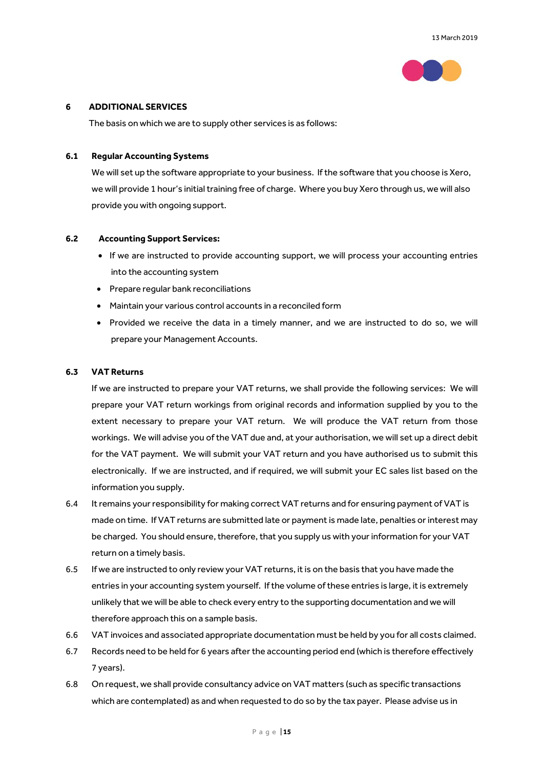

## **6 ADDITIONAL SERVICES**

The basis on which we are to supply other services is as follows:

## **6.1 Regular Accounting Systems**

We will set up the software appropriate to your business. If the software that you choose is Xero, we will provide 1 hour's initial training free of charge. Where you buy Xero through us, we will also provide you with ongoing support.

#### **6.2 Accounting Support Services:**

- If we are instructed to provide accounting support, we will process your accounting entries into the accounting system
- Prepare regular bank reconciliations
- Maintain your various control accounts in a reconciled form
- Provided we receive the data in a timely manner, and we are instructed to do so, we will prepare your Management Accounts.

#### **6.3 VAT Returns**

If we are instructed to prepare your VAT returns, we shall provide the following services: We will prepare your VAT return workings from original records and information supplied by you to the extent necessary to prepare your VAT return. We will produce the VAT return from those workings. We will advise you of the VAT due and, at your authorisation, we will set up a direct debit for the VAT payment. We will submit your VAT return and you have authorised us to submit this electronically. If we are instructed, and if required, we will submit your EC sales list based on the information you supply.

- 6.4 It remains your responsibility for making correct VAT returns and for ensuring payment of VAT is made on time. If VAT returns are submitted late or payment is made late, penalties or interest may be charged. You should ensure, therefore, that you supply us with your information for your VAT return on a timely basis.
- 6.5 If we are instructed to only review your VAT returns, it is on the basis that you have made the entries in your accounting system yourself. If the volume of these entries is large, it is extremely unlikely that we will be able to check every entry to the supporting documentation and we will therefore approach this on a sample basis.
- 6.6 VAT invoices and associated appropriate documentation must be held by you for all costs claimed.
- 6.7 Records need to be held for 6 years after the accounting period end (which is therefore effectively 7 years).
- 6.8 On request, we shall provide consultancy advice on VAT matters (such as specific transactions which are contemplated) as and when requested to do so by the tax payer. Please advise us in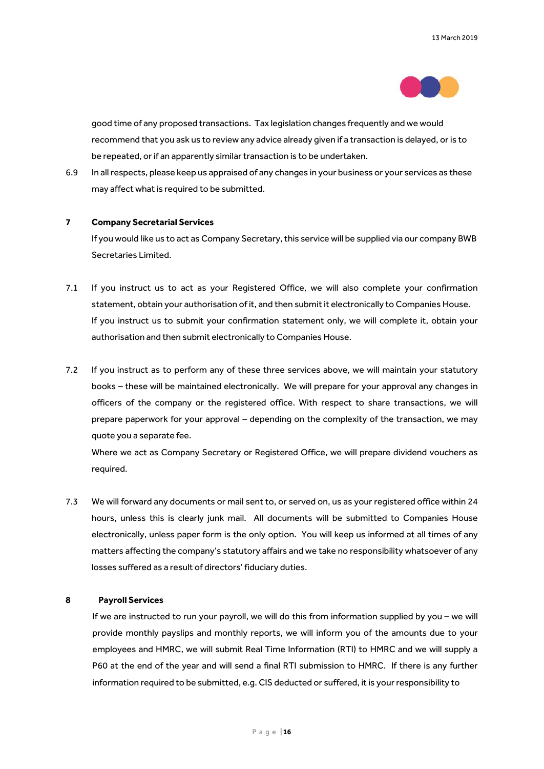

good time of any proposed transactions. Tax legislation changes frequently and we would recommend that you ask us to review any advice already given if a transaction is delayed, or is to be repeated, or if an apparently similar transaction is to be undertaken.

6.9 In all respects, please keep us appraised of any changes in your business or your services as these may affect what is required to be submitted.

#### **7 Company Secretarial Services**

If you would like us to act as Company Secretary, this service will be supplied via our company BWB Secretaries Limited.

- 7.1 If you instruct us to act as your Registered Office, we will also complete your confirmation statement, obtain your authorisation of it, and then submit it electronically to Companies House. If you instruct us to submit your confirmation statement only, we will complete it, obtain your authorisation and then submit electronically to Companies House.
- 7.2 If you instruct as to perform any of these three services above, we will maintain your statutory books – these will be maintained electronically. We will prepare for your approval any changes in officers of the company or the registered office. With respect to share transactions, we will prepare paperwork for your approval – depending on the complexity of the transaction, we may quote you a separate fee.

Where we act as Company Secretary or Registered Office, we will prepare dividend vouchers as required.

7.3 We will forward any documents or mail sent to, or served on, us as your registered office within 24 hours, unless this is clearly junk mail. All documents will be submitted to Companies House electronically, unless paper form is the only option. You will keep us informed at all times of any matters affecting the company's statutory affairs and we take no responsibility whatsoever of any losses suffered as a result of directors' fiduciary duties.

#### **8 Payroll Services**

If we are instructed to run your payroll, we will do this from information supplied by you – we will provide monthly payslips and monthly reports, we will inform you of the amounts due to your employees and HMRC, we will submit Real Time Information (RTI) to HMRC and we will supply a P60 at the end of the year and will send a final RTI submission to HMRC. If there is any further information required to be submitted, e.g. CIS deducted or suffered, it is your responsibility to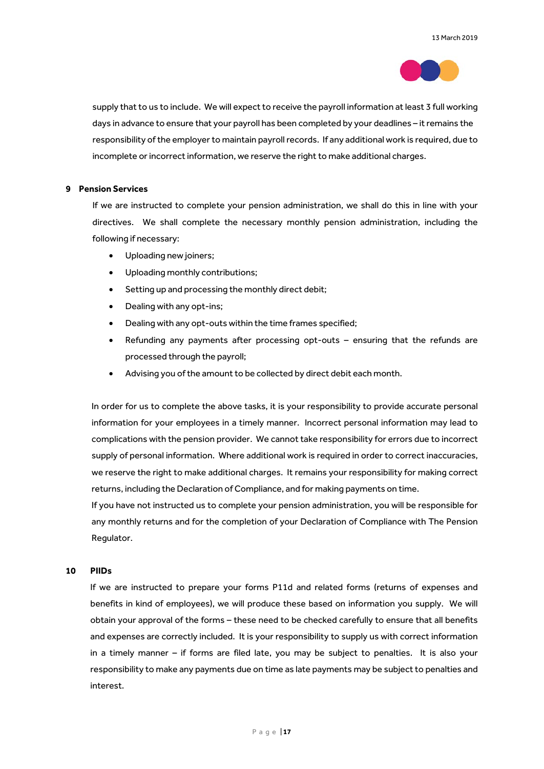

supply that to us to include. We will expect to receive the payroll information at least 3 full working days in advance to ensure that your payroll has been completed by your deadlines – it remains the responsibility of the employer to maintain payroll records. If any additional work is required, due to incomplete or incorrect information, we reserve the right to make additional charges.

#### **9 Pension Services**

If we are instructed to complete your pension administration, we shall do this in line with your directives. We shall complete the necessary monthly pension administration, including the following if necessary:

- Uploading new joiners;
- Uploading monthly contributions;
- Setting up and processing the monthly direct debit;
- Dealing with any opt-ins;
- Dealing with any opt-outs within the time frames specified;
- Refunding any payments after processing opt-outs ensuring that the refunds are processed through the payroll;
- Advising you of the amount to be collected by direct debit each month.

In order for us to complete the above tasks, it is your responsibility to provide accurate personal information for your employees in a timely manner. Incorrect personal information may lead to complications with the pension provider. We cannot take responsibility for errors due to incorrect supply of personal information. Where additional work is required in order to correct inaccuracies, we reserve the right to make additional charges. It remains your responsibility for making correct returns, including the Declaration of Compliance, and for making payments on time.

If you have not instructed us to complete your pension administration, you will be responsible for any monthly returns and for the completion of your Declaration of Compliance with The Pension Regulator.

## **10 PIIDs**

If we are instructed to prepare your forms P11d and related forms (returns of expenses and benefits in kind of employees), we will produce these based on information you supply. We will obtain your approval of the forms – these need to be checked carefully to ensure that all benefits and expenses are correctly included. It is your responsibility to supply us with correct information in a timely manner – if forms are filed late, you may be subject to penalties. It is also your responsibility to make any payments due on time as late payments may be subject to penalties and interest.